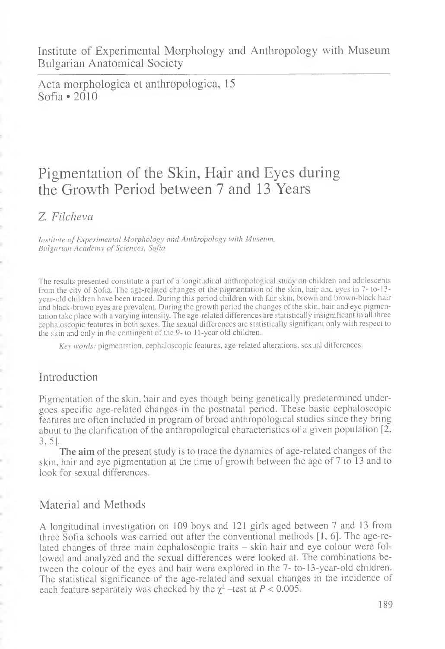Institute of Experimental Morphology and Anthropology with Museum Bulgarian Anatomical Society

Acta morphologica et anthropologica, 15 Sofia \*2010

# Pigmentation of the Skin, Hair and Eyes during the Growth Period between 7 and 13 Years

Z. *Filcheva*

*Institute of Experimental Morphology and Anthropology with Museum, Bulgarian Academy of Sciences, Sofia*

The results presented constitute a part of a longitudinal anthropological study on children and adolescents from the city of Sofia. The age-related changes of the pigmentation of the skin, hair and eyes in 7- to-13 year-old children have been traced. During this period children with fair skin, brown and brown-black hair and black-brown eyes are prevalent. During the growth period the changes of the skin, hair and eye pigmentation take place with a varying intensity. The age-related differences are statistically insignificant in all three cephaloscopic features in both sexes. The sexual differences are statistically significant only with respect to the skin and only in the contingent of the 9- to 11-year old children.

*Key words:* pigmentation, cephaloscopic features, age-related alterations, sexual differences.

### Introduction

Pigmentation of the skin, hair and eyes though being genetically predetermined undergoes specific age-related changes in the postnatal period. These basic cephaloscopic features are often included in program of broad anthropological studies since they bring about to the clarification of the anthropological characteristics of a given population [2, 3,5].

**The aim** of the present study is to trace the dynamics of age-related changes of the skin, hair and eye pigmentation at the time of growth between the age of 7 to 13 and to look for sexual differences.

# Material and Methods

Í

A longitudinal investigation on 109 boys and 121 girls aged between 7 and 13 from three Sofia schools was carried out after the conventional methods  $[1, 6]$ . The age-related changes of three main cephaloscopic traits - skin hair and eye colour were followed and analyzed and the sexual differences were looked at. The combinations between the colour of the eyes and hair were explored in the 7- to-13-year-old children. The statistical significance of the age-related and sexual changes in the incidence of each feature separately was checked by the  $\chi^2$  -test at  $P < 0.005$ .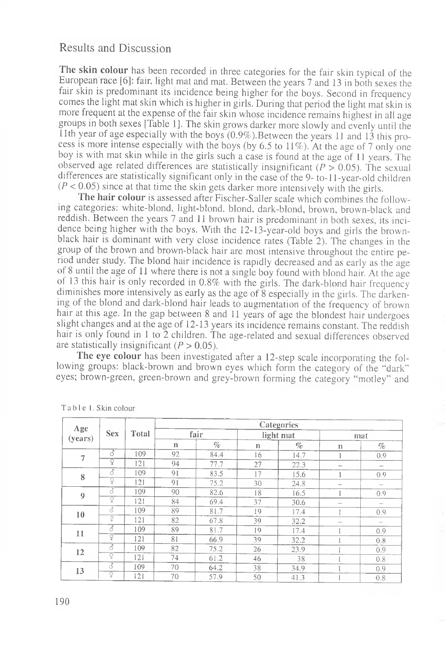## Results and Discussion

The skin colour has been recorded in three categories for the fair skin typical of the European iace [6 ]: fair, light mat and mat. Between the years 7 and 13 in both sexes the fair skin is predominant its incidence being higher for the boys. Second in frequency comes the light mat skin which is higher in girls. During that period the light mat skin is more frequent at the expense of the fair skin whose incidence remains highest in all age groups in both sexes [Table 1]. The skin grows darker more slowly and evenly until the  $11$ th vear of age especially with the boys  $(0.9\%)$ . Between the years 11 and 13 this process is more intense especially with the boys (by 6.5 to 11%). At the age of 7 only one boy is with mat skin while in the girls such a case is found at the age of 11 years. The observed age related differences are statistically insignificant  $(P > 0.05)$ . The sexual differences are statistically significant only in the case of the 9-to-11-year-old children  $(P < 0.05)$  since at that time the skin gets darker more intensively with the girls.

The hair colour is assessed after Fischer-Saller scale which combines the following categories: white-blond, light-blond, blond, dark-blond, brown, brown-black and reddish. Between the years 7 and 11 brown hair is predominant in both sexes, its incidence being higher with the boys. With the 12-13-year-old boys and girls the brownblack hair is dominant with very close incidence rates (Table 2). The changes in the group of the brown and brown-black hair are most intensive throughout the entire period under study. The blond hair incidence is rapidly decreased and as early as the age of 8 until the age of 11 where there is not a single boy found with blond hair. At the age ot 13 this hair is only recorded in 0.8% with the girls. The dark-blond hair frequency diminishes more intensively as early as the age of 8 especially in the girls. The darkening of the blond and dark-blond hair leads to augmentation of the frequency of brown hair at this age. In the gap between 8 and 11 years of age the blondest hair undergoes slight changes and at the age of 12-13 years its incidence remains constant. The reddish hair is only found in 1 to 2 children. The age-related and sexual differences observed are statistically insignificant  $(P > 0.05)$ .

The eye colour has been investigated after a 12-step scale incorporating the following groups: black-brown and brown eyes which form the category of the "dark" eyes; brown-green, green-brown and grey-brown forming the category "motley" and

| Age<br>(years)   | <b>Sex</b>          | Total | Categories |      |             |           |     |                          |  |  |  |  |  |
|------------------|---------------------|-------|------------|------|-------------|-----------|-----|--------------------------|--|--|--|--|--|
|                  |                     |       |            | fair |             | light mat | mat |                          |  |  |  |  |  |
|                  |                     |       | n          | $\%$ | $\mathbf n$ | $\%$      | n   | $\%$                     |  |  |  |  |  |
| 7                | $\overline{\delta}$ | 109   | 92         | 84.4 | 16          | 14.7      |     | 0.9                      |  |  |  |  |  |
|                  | ò                   | 121   | 94         | 77.7 | 27          | 22.3      |     | $\qquad \qquad$          |  |  |  |  |  |
| 8                | ਨੇ                  | 109   | 91         | 83.5 | 17          | 15.6      |     | 0.9                      |  |  |  |  |  |
|                  | ò                   | 121   | 91         | 75.2 | 30          | 24.8      | $-$ |                          |  |  |  |  |  |
| $\boldsymbol{9}$ | ैं                  | 109   | 90         | 82.6 | 18          | 16.5      |     | 0.9                      |  |  |  |  |  |
|                  | ò                   | 121   | 84         | 69.4 | 37          | 30.6      |     | $\sim$                   |  |  |  |  |  |
| 10               | 3                   | 109   | 89         | 81.7 | 19          | 17.4      |     | 0.9                      |  |  |  |  |  |
|                  | ò                   | 121   | 82         | 67.8 | 39          | 32.2      | $-$ | $\overline{\phantom{m}}$ |  |  |  |  |  |
| 11               | ह                   | 109   | 89         | 81.7 | 19          | 17.4      |     | 0.9                      |  |  |  |  |  |
|                  | ç                   | 121   | 81         | 66.9 | 39          | 32.2      |     | 0.8                      |  |  |  |  |  |
| 12               | $\overline{\delta}$ | 109   | 82         | 75.2 | 26          | 23.9      |     | 0.9                      |  |  |  |  |  |
|                  | ç                   | 121   | 74         | 61.2 | 46          | 38        |     | 0.8                      |  |  |  |  |  |
| 13               | हैं                 | 109   | 70         | 64.2 | 38          | 34.9      |     | 0.9                      |  |  |  |  |  |
|                  | ò                   | 121   | 70         | 57.9 | 50          | 41.3      |     | 0.8                      |  |  |  |  |  |

Table 1. Skin colour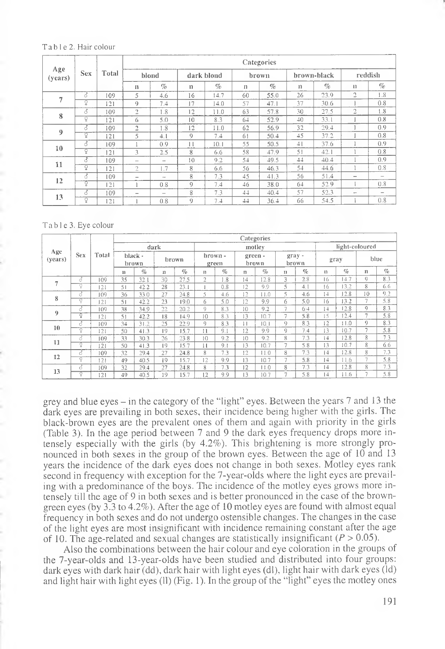#### Table 2. Hair colour

|                | <b>Sex</b>     | Total | Categories               |               |                 |      |    |                           |             |      |                          |                          |  |  |
|----------------|----------------|-------|--------------------------|---------------|-----------------|------|----|---------------------------|-------------|------|--------------------------|--------------------------|--|--|
| Age<br>(years) |                |       | blond                    |               | dark blond      |      |    | brown                     | brown-black |      | reddish                  |                          |  |  |
|                |                |       | $\mathbf{I}$             | $\%$          | $\mathbf{u}$    | $\%$ | n  | $\mathcal{O}_\mathcal{O}$ | $_{\rm 11}$ | $\%$ | n                        | $\%$                     |  |  |
| 7              | 3              | 109   | 5                        | 4.6           | 16              | 14.7 | 60 | 55.0                      | 26          | 23.9 | $\overline{c}$           | 1.8                      |  |  |
|                | ò              | 121   | 0                        | 7.4           | 17              | 14.0 | 57 | 47.1                      | 37          | 30.6 |                          | 0.8                      |  |  |
| 8              | ै              | 109   | 2                        | 1.8           | 12              | 11.0 | 63 | 57.8                      | 30          | 27.5 | 2                        | 1.8                      |  |  |
|                | ò              | 121   | 6                        | 5.0           | $\overline{10}$ | 8.3  | 64 | 52.9                      | $40^{1}$    | 33.1 |                          | 0.8                      |  |  |
| 9              | 3              | 109   | $\overline{a}$           | 1.8           | 12              | 11.0 | 62 | 56.9                      | 32          | 29.4 |                          | 0.9                      |  |  |
|                | ó              | 121   | 5                        | 4.1           | $\mathcal{O}$   | 7.4  | 61 | 50.4                      | 45          | 37.2 |                          | 0.8                      |  |  |
| 10             | ₫              | 109   |                          | 0.9           | 11              | 10.1 | 55 | 50.5                      | 41          | 37.6 |                          | 0.9                      |  |  |
|                | ó              | 121   | 3                        | 2.5           | 8               | 6.6  | 58 | 47.9                      | 51          | 42.1 |                          | 0.8                      |  |  |
| 11             | 3              | 109   | -                        | <b>And</b>    | 10              | 9.2  | 54 | 49.5                      | 44          | 40.4 |                          | 0,9                      |  |  |
|                | $\overline{Q}$ | 121   | 2                        | 1.7           | 8               | 6.6  | 56 | 46.3                      | 54          | 44.6 |                          | 0.8                      |  |  |
| 12             | 7              | 109   | $\overline{\phantom{a}}$ | $\rightarrow$ | 8               | 7.3  | 45 | 41.3                      | 56          | 51.4 | $\sim$                   | $\qquad \qquad$          |  |  |
|                | Ÿ              | 2     |                          | 0.8           | $\Omega$        | 7.4  | 46 | 38.0                      | 64          | 52.9 |                          | 0.8                      |  |  |
| 13             | ै              | 109   | $\sim$                   | $\sim$        | 8               | 7.3  | 44 | 40.4                      | 57          | 52.3 | $\overline{\phantom{a}}$ | $\overline{\phantom{a}}$ |  |  |
|                | Q              | 121   |                          | 0.8           | 9               | 7.4  | 44 | 36.4                      | 66          | 54.5 |                          | 0.8                      |  |  |

#### T ab 1 e 3. Eye colour

| Age<br>(years)           | <b>Sex</b> | Total | Categories       |      |       |      |                  |      |                 |                           |                          |      |           |                |          |      |  |
|--------------------------|------------|-------|------------------|------|-------|------|------------------|------|-----------------|---------------------------|--------------------------|------|-----------|----------------|----------|------|--|
|                          |            |       | dark             |      |       |      | motley           |      |                 |                           |                          |      |           | light-coloured |          |      |  |
|                          |            |       | black -<br>brown |      | brown |      | brown -<br>green |      | green-<br>brown |                           | gray-<br>brown           |      | gray      |                | blue     |      |  |
|                          |            |       | n                | $\%$ | 11    | $\%$ | n                | $\%$ | n               | $\mathcal{O}_\mathcal{F}$ | n                        | $\%$ | n         | $\%$           | $^{11}$  | $\%$ |  |
| $\overline{\phantom{a}}$ | 7          | 109   | 35               | 32.1 | 30    | 27.5 | $\overline{2}$   | 1.8  | 14              | 12.8                      | 3                        | 2.8  | 16        | 14.7           | ŋ        | 8.3  |  |
|                          | p          | 121   | 51               | 42.2 | 28    | 23.1 |                  | 0.8  | 12              | 9.9                       | 5                        | 4.1  | 16        | 13.2           | 8        | 6.6  |  |
| 8                        | ै          | 109   | 36               | 33.0 | 27    | 24.8 | 5                | 4.6  | 12              | 11.0                      | 5                        | 4.6  | 14        | 12.8           | 10       | 0.2  |  |
|                          | ò          | 121   | 51               | 42.2 | 23    | 19.0 | 6                | 5.0  | 12              | 9.9                       | 6                        | 5.0  | 16        | 13.2           | 7        | 5.8  |  |
| 9                        | ő          | 109   | 38               | 34.9 | 22    | 20.2 | 9                | 8.3  | 10              | 9.2                       | $\overline{ }$           | 64   | 14        | 12.8           | $\Omega$ | 8.3  |  |
|                          | ò          | 2     | 51               | 42.2 | 18    | 14.9 | 10               | 8.3  | 13              | 10.7                      | $\overline{1}$           | 5.8  | 15        | 12.4           | 7        | 5.8  |  |
| 10                       | 3          | 109   | 34               | 31.2 | 25    | 22.9 | 9                | 8.3  | $\frac{1}{2}$   | 10.1                      | 9                        | 8.3  | 12        | 11.0           | 9        | 8.3  |  |
|                          | ò          | 121   | 50               | 41.3 | 9     | 15.7 | $^{11}$          | 9.1  | 12              | 9.9                       | G)                       | 7.4  | 13        | 10.7           | 7        | 5.8  |  |
| 11                       | ਨੋ         | 109   | 33               | 30.3 | 26    | 238  | 10               | 9.2  | 10              | 9.2                       | 8                        | 7.3  | I4        | 12.8           | 8        | 7.3  |  |
|                          | ç          | 121   | 50               | 41.3 | 9     | 15.7 | 11               | 9.1  | 13              | 10.7                      | $\overline{z}$           | 5.8  | 13        | 10.7           | 8        | 6.6  |  |
| 12                       | 8          | 109   | 32               | 29.4 | 27    | 24.8 | 8                | 7.3  | 12              | 11.0                      | 8                        | 7.3  | 14        | 12.8           | 8        | 7.3  |  |
|                          | ò          | 121   | 49               | 40.5 | 19    | 15.7 | 12               | 9.9  | 13              | 10.7                      | $\overline{\phantom{a}}$ | 5.8  | 14        | 11.6           | 7        | 5.8  |  |
| 13                       | Q.         | 109   | 32               | 29.4 | 27    | 24.8 | 8                | 7.3  | 12              | 11.0                      | 8                        | 7.3  | 14        | 12.8           | 8        | 7.3  |  |
|                          | ó          | 121   | 49               | 40.5 | 19    | 15.7 | 12               | 9.9  | 13              | 10.7                      | $\overline{ }$           | 5.8  | $\vert 4$ | 11.6           | 7        | 5.8  |  |

grey and blue eyes - in the category of the "light" eyes. Between the years 7 and 13 the dark eyes are prevailing in both sexes, their incidence being higher with the girls. The black-brown eyes are the prevalent ones of them and again with priority in the girls (Table 3). In the age period between 7 and 9 the dark eyes frequency drops more intensely especially with the girls (by 4.2%). This brightening is more strongly pronounced in both sexes in the group of the brown eyes. Between the age of 10 and 13 years the incidence of the dark eyes does not change in both sexes. Motley eyes rank second in frequency with exception for the 7-year-olds where the light eyes are prevailing with a predominance of the boys. The incidence of the motley eyes grows more intensely till the age of 9 in both sexes and is better pronounced in the case of the browngreen eyes (by 3.3 to 4.2%). After the age of 10 motley eyes are found with almost equal frequency in both sexes and do not undergo ostensible changes. The changes in the case of the light eyes are most insignificant with incidence remaining constant after the age of 10. The age-related and sexual changes are statistically insignificant *{P >* 0.05).

Also the combinations between the hair colour and eye coloration in the groups of the 7-year-olds and 13-year-olds have been studied and distributed into four groups: dark eyes with dark hair (dd), dark hair with light eyes (dl), light hair with dark eyes (Id) and light hair with light eyes (11) (Fig. 1). In the group of the "light" eyes the motley ones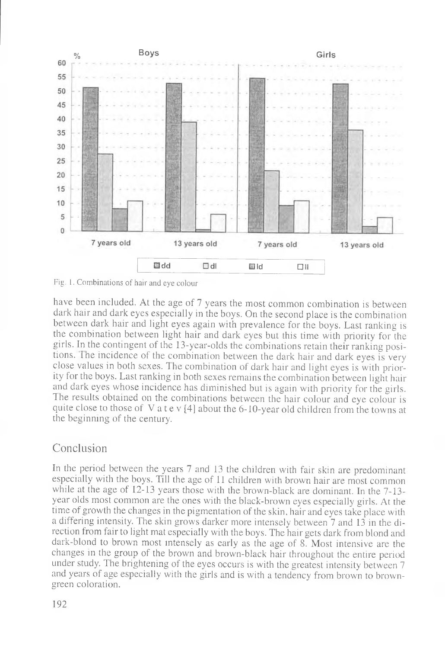



have been included. At the age of 7 years the most common combination is between dark hair and dark eyes especially in the boys. On the second place is the combination between dark hair and light eyes again with prevalence for the boys. Last ranking is the combination between light hair and dark eyes but this time with priority for the girls. In the contingent of the 13-year-olds the combinations retain their ranking positions. The incidence of the combination between the dark hair and dark eyes is very close values in both sexes. The combination of dark hair and light eyes is with priority for the boys. Last ranking in both sexes remains the combination between light hair and dark eyes whose incidence has diminished but is again with priority for the girls. The results obtained on the combinations between the hair colour and eye colour is quite close to those of V a t e v  $[4]$  about the 6-10-year old children from the towns at the beginning of the century.

# Conclusion

In the period between the years 7 and 13 the children with fair skin are predominant especially with the boys. Till the age of 11 children with brown hair are most common while at the age of 12-13 years those with the brown-black are dominant. In the 7-13year olds most common are the ones with the black-brown eyes especially girls. At the time of growth the changes in the pigmentation of the skin, hair and eyes take place with a differing intensity. The skin grows darker more intensely between 7 and 13 in the direction from fair to light mat especially with the boys. The hair gets dark from blond and dark-blond to brown most intensely as early as the age of 8. Most intensive are the changes in the group of the brown and brown-black hair throughout the entire period under study. The brightening of the eyes occurs is with the greatest intensity between 7 and years of age especially with the girls and is with a tendency from brown to browngreen coloration.